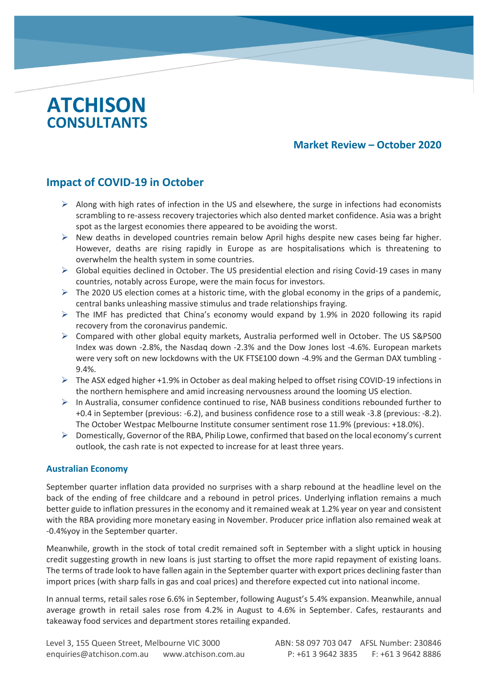# **ATCHISON CONSULTANTS**

c

## **Market Review – October 2020**

# **Impact of COVID-19 in October**

- $\triangleright$  Along with high rates of infection in the US and elsewhere, the surge in infections had economists scrambling to re-assess recovery trajectories which also dented market confidence. Asia was a bright spot as the largest economies there appeared to be avoiding the worst.
- $\triangleright$  New deaths in developed countries remain below April highs despite new cases being far higher. However, deaths are rising rapidly in Europe as are hospitalisations which is threatening to overwhelm the health system in some countries.
- $\triangleright$  Global equities declined in October. The US presidential election and rising Covid-19 cases in many countries, notably across Europe, were the main focus for investors.
- $\triangleright$  The 2020 US election comes at a historic time, with the global economy in the grips of a pandemic, central banks unleashing massive stimulus and trade relationships fraying.
- The IMF has predicted that China's economy would expand by 1.9% in 2020 following its rapid recovery from the coronavirus pandemic.
- $\triangleright$  Compared with other global equity markets, Australia performed well in October. The US S&P500 Index was down -2.8%, the Nasdaq down -2.3% and the Dow Jones lost -4.6%. European markets were very soft on new lockdowns with the UK FTSE100 down -4.9% and the German DAX tumbling - 9.4%.
- The ASX edged higher +1.9% in October as deal making helped to offset rising COVID-19 infections in the northern hemisphere and amid increasing nervousness around the looming US election.
- $\triangleright$  In Australia, consumer confidence continued to rise, NAB business conditions rebounded further to +0.4 in September (previous: -6.2), and business confidence rose to a still weak -3.8 (previous: -8.2). The October Westpac Melbourne Institute consumer sentiment rose 11.9% (previous: +18.0%).
- Domestically, Governor of the RBA, Philip Lowe, confirmed that based on the local economy's current outlook, the cash rate is not expected to increase for at least three years.

#### **Australian Economy**

September quarter inflation data provided no surprises with a sharp rebound at the headline level on the back of the ending of free childcare and a rebound in petrol prices. Underlying inflation remains a much better guide to inflation pressures in the economy and it remained weak at 1.2% year on year and consistent with the RBA providing more monetary easing in November. Producer price inflation also remained weak at -0.4%yoy in the September quarter.

Meanwhile, growth in the stock of total credit remained soft in September with a slight uptick in housing credit suggesting growth in new loans is just starting to offset the more rapid repayment of existing loans. The terms of trade look to have fallen again in the September quarter with export prices declining faster than import prices (with sharp falls in gas and coal prices) and therefore expected cut into national income.

In annual terms, retail sales rose 6.6% in September, following August's 5.4% expansion. Meanwhile, annual average growth in retail sales rose from 4.2% in August to 4.6% in September. Cafes, restaurants and takeaway food services and department stores retailing expanded.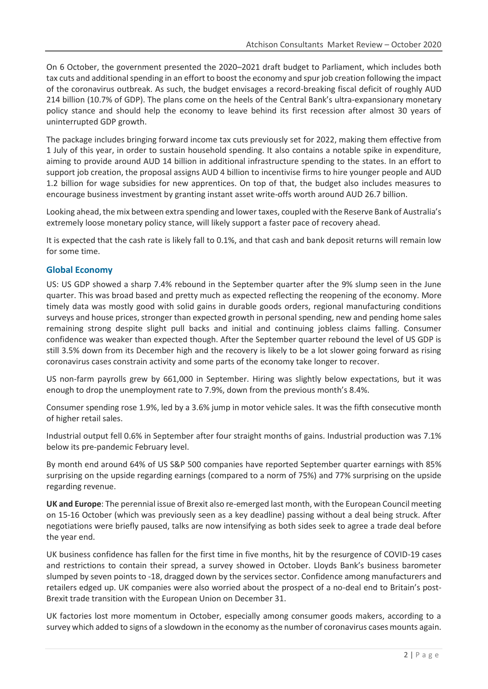On 6 October, the government presented the 2020–2021 draft budget to Parliament, which includes both tax cuts and additional spending in an effort to boost the economy and spur job creation following the impact of the coronavirus outbreak. As such, the budget envisages a record-breaking fiscal deficit of roughly AUD 214 billion (10.7% of GDP). The plans come on the heels of the Central Bank's ultra-expansionary monetary policy stance and should help the economy to leave behind its first recession after almost 30 years of uninterrupted GDP growth.

The package includes bringing forward income tax cuts previously set for 2022, making them effective from 1 July of this year, in order to sustain household spending. It also contains a notable spike in expenditure, aiming to provide around AUD 14 billion in additional infrastructure spending to the states. In an effort to support job creation, the proposal assigns AUD 4 billion to incentivise firms to hire younger people and AUD 1.2 billion for wage subsidies for new apprentices. On top of that, the budget also includes measures to encourage business investment by granting instant asset write-offs worth around AUD 26.7 billion.

Looking ahead, the mix between extra spending and lower taxes, coupled with the Reserve Bank of Australia's extremely loose monetary policy stance, will likely support a faster pace of recovery ahead.

It is expected that the cash rate is likely fall to 0.1%, and that cash and bank deposit returns will remain low for some time.

#### **Global Economy**

US: US GDP showed a sharp 7.4% rebound in the September quarter after the 9% slump seen in the June quarter. This was broad based and pretty much as expected reflecting the reopening of the economy. More timely data was mostly good with solid gains in durable goods orders, regional manufacturing conditions surveys and house prices, stronger than expected growth in personal spending, new and pending home sales remaining strong despite slight pull backs and initial and continuing jobless claims falling. Consumer confidence was weaker than expected though. After the September quarter rebound the level of US GDP is still 3.5% down from its December high and the recovery is likely to be a lot slower going forward as rising coronavirus cases constrain activity and some parts of the economy take longer to recover.

US non-farm payrolls grew by 661,000 in September. Hiring was slightly below expectations, but it was enough to drop the unemployment rate to 7.9%, down from the previous month's 8.4%.

Consumer spending rose 1.9%, led by a 3.6% jump in motor vehicle sales. It was the fifth consecutive month of higher retail sales.

Industrial output fell 0.6% in September after four straight months of gains. Industrial production was 7.1% below its pre-pandemic February level.

By month end around 64% of US S&P 500 companies have reported September quarter earnings with 85% surprising on the upside regarding earnings (compared to a norm of 75%) and 77% surprising on the upside regarding revenue.

**UK and Europe**: The perennial issue of Brexit also re-emerged last month, with the European Council meeting on 15-16 October (which was previously seen as a key deadline) passing without a deal being struck. After negotiations were briefly paused, talks are now intensifying as both sides seek to agree a trade deal before the year end.

UK business confidence has fallen for the first time in five months, hit by the resurgence of COVID-19 cases and restrictions to contain their spread, a survey showed in October. Lloyds Bank's business barometer slumped by seven points to -18, dragged down by the services sector. Confidence among manufacturers and retailers edged up. UK companies were also worried about the prospect of a no-deal end to Britain's post-Brexit trade transition with the European Union on December 31.

UK factories lost more momentum in October, especially among consumer goods makers, according to a survey which added to signs of a slowdown in the economy as the number of coronavirus cases mounts again.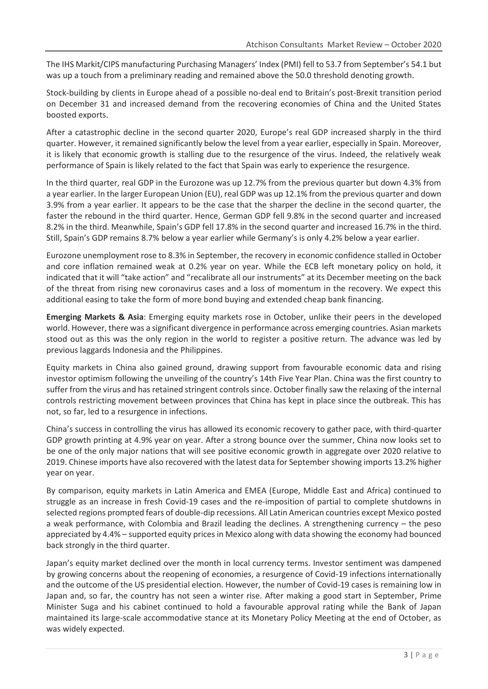The IHS Markit/CIPS manufacturing Purchasing Managers' Index (PMI) fell to 53.7 from September's 54.1 but was up a touch from a preliminary reading and remained above the 50.0 threshold denoting growth.

Stock-building by clients in Europe ahead of a possible no-deal end to Britain's post-Brexit transition period on December 31 and increased demand from the recovering economies of China and the United States boosted exports.

After a catastrophic decline in the second quarter 2020, Europe's real GDP increased sharply in the third quarter. However, it remained significantly below the level from a year earlier, especially in Spain. Moreover, it is likely that economic growth is stalling due to the resurgence of the virus. Indeed, the relatively weak performance of Spain is likely related to the fact that Spain was early to experience the resurgence.

In the third quarter, real GDP in the Eurozone was up 12.7% from the previous quarter but down 4.3% from a year earlier. In the larger European Union (EU), real GDP was up 12.1% from the previous quarter and down 3.9% from a year earlier. It appears to be the case that the sharper the decline in the second quarter, the faster the rebound in the third quarter. Hence, German GDP fell 9.8% in the second quarter and increased 8.2% in the third. Meanwhile, Spain's GDP fell 17.8% in the second quarter and increased 16.7% in the third. Still, Spain's GDP remains 8.7% below a year earlier while Germany's is only 4.2% below a year earlier.

Eurozone unemployment rose to 8.3% in September, the recovery in economic confidence stalled in October and core inflation remained weak at 0.2% year on year. While the ECB left monetary policy on hold, it indicated that it will "take action" and "recalibrate all our instruments" at its December meeting on the back of the threat from rising new coronavirus cases and a loss of momentum in the recovery. We expect this additional easing to take the form of more bond buying and extended cheap bank financing.

**Emerging Markets & Asia**: Emerging equity markets rose in October, unlike their peers in the developed world. However, there was a significant divergence in performance across emerging countries. Asian markets stood out as this was the only region in the world to register a positive return. The advance was led by previous laggards Indonesia and the Philippines.

Equity markets in China also gained ground, drawing support from favourable economic data and rising investor optimism following the unveiling of the country's 14th Five Year Plan. China was the first country to suffer from the virus and has retained stringent controls since. October finally saw the relaxing of the internal controls restricting movement between provinces that China has kept in place since the outbreak. This has not, so far, led to a resurgence in infections.

China's success in controlling the virus has allowed its economic recovery to gather pace, with third-quarter GDP growth printing at 4.9% year on year. After a strong bounce over the summer, China now looks set to be one of the only major nations that will see positive economic growth in aggregate over 2020 relative to 2019. Chinese imports have also recovered with the latest data for September showing imports 13.2% higher year on year.

By comparison, equity markets in Latin America and EMEA (Europe, Middle East and Africa) continued to struggle as an increase in fresh Covid-19 cases and the re-imposition of partial to complete shutdowns in selected regions prompted fears of double-dip recessions. All Latin American countries except Mexico posted a weak performance, with Colombia and Brazil leading the declines. A strengthening currency – the peso appreciated by 4.4% – supported equity prices in Mexico along with data showing the economy had bounced back strongly in the third quarter.

Japan's equity market declined over the month in local currency terms. Investor sentiment was dampened by growing concerns about the reopening of economies, a resurgence of Covid-19 infections internationally and the outcome of the US presidential election. However, the number of Covid-19 cases is remaining low in Japan and, so far, the country has not seen a winter rise. After making a good start in September, Prime Minister Suga and his cabinet continued to hold a favourable approval rating while the Bank of Japan maintained its large-scale accommodative stance at its Monetary Policy Meeting at the end of October, as was widely expected.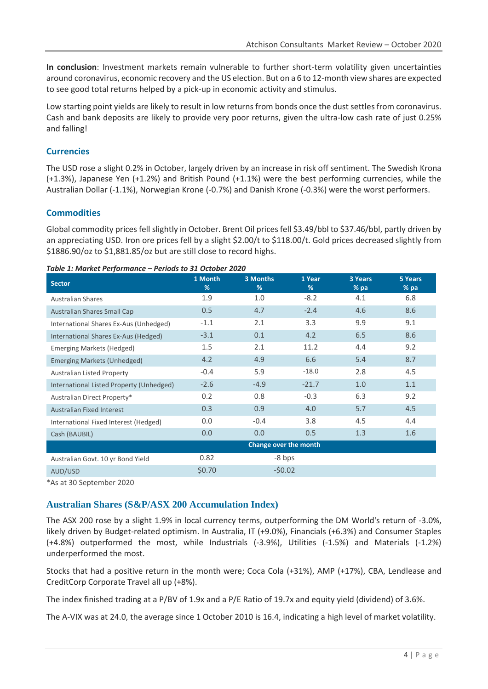**In conclusion**: Investment markets remain vulnerable to further short-term volatility given uncertainties around coronavirus, economic recovery and the US election. But on a 6 to 12-month view shares are expected to see good total returns helped by a pick-up in economic activity and stimulus.

Low starting point yields are likely to result in low returns from bonds once the dust settles from coronavirus. Cash and bank deposits are likely to provide very poor returns, given the ultra-low cash rate of just 0.25% and falling!

## **Currencies**

The USD rose a slight 0.2% in October, largely driven by an increase in risk off sentiment. The Swedish Krona (+1.3%), Japanese Yen (+1.2%) and British Pound (+1.1%) were the best performing currencies, while the Australian Dollar (-1.1%), Norwegian Krone (-0.7%) and Danish Krone (-0.3%) were the worst performers.

## **Commodities**

Global commodity prices fell slightly in October. Brent Oil prices fell \$3.49/bbl to \$37.46/bbl, partly driven by an appreciating USD. Iron ore prices fell by a slight \$2.00/t to \$118.00/t. Gold prices decreased slightly from \$1886.90/oz to \$1,881.85/oz but are still close to record highs.

#### **Sector 1 Month % 3 Months % 1 Year % 3 Years % pa 5 Years % pa** Australian Shares **1.9** 1.9 1.0 -8.2 4.1 6.8 Australian Shares Small Cap 0.5 4.7 -2.4 4.6 8.6 International Shares Ex-Aus (Unhedged)  $-1.1$  2.1 3.3 9.9 9.1 International Shares Ex-Aus (Hedged)  $-3.1$  0.1 4.2 6.5 8.6 Emerging Markets (Hedged) 1.5 2.1 11.2 4.4 9.2 Emerging Markets (Unhedged) 4.2 4.9 6.6 5.4 8.7 Australian Listed Property **-0.4** 5.9 -18.0 2.8 4.5 International Listed Property (Unhedged) -2.6 -4.9 -21.7 1.0 1.1 Australian Direct Property\* **0.2** 0.8 -0.3 6.3 9.2 Australian Fixed Interest 0.3 0.9 4.0 5.7 4.5 International Fixed Interest (Hedged)  $0.0$  -0.4 3.8 4.5 4.4 Cash (BAUBIL) 0.0 0.0 0.5 1.3 1.6 **Change over the month** Australian Govt. 10 yr Bond Yield 0.82 -8 bps  $\text{AUD/USD}$  -  $\text{\$0.70}$  -  $\text{\$0.02}$

*Table 1: Market Performance – Periods to 31 October 2020*

\*As at 30 September 2020

## **Australian Shares (S&P/ASX 200 Accumulation Index)**

The ASX 200 rose by a slight 1.9% in local currency terms, outperforming the DM World's return of -3.0%, likely driven by Budget-related optimism. In Australia, IT (+9.0%), Financials (+6.3%) and Consumer Staples (+4.8%) outperformed the most, while Industrials (-3.9%), Utilities (-1.5%) and Materials (-1.2%) underperformed the most.

Stocks that had a positive return in the month were; Coca Cola (+31%), AMP (+17%), CBA, Lendlease and CreditCorp Corporate Travel all up (+8%).

The index finished trading at a P/BV of 1.9x and a P/E Ratio of 19.7x and equity yield (dividend) of 3.6%.

The A-VIX was at 24.0, the average since 1 October 2010 is 16.4, indicating a high level of market volatility.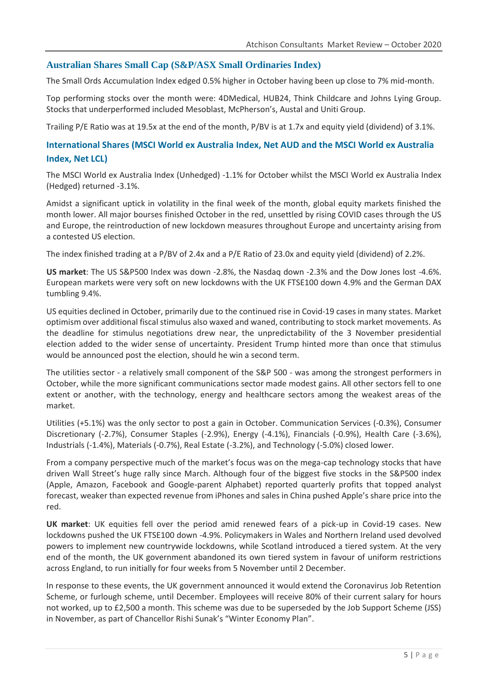#### **Australian Shares Small Cap (S&P/ASX Small Ordinaries Index)**

The Small Ords Accumulation Index edged 0.5% higher in October having been up close to 7% mid-month.

Top performing stocks over the month were: 4DMedical, HUB24, Think Childcare and Johns Lying Group. Stocks that underperformed included Mesoblast, McPherson's, Austal and Uniti Group.

Trailing P/E Ratio was at 19.5x at the end of the month, P/BV is at 1.7x and equity yield (dividend) of 3.1%.

## **International Shares (MSCI World ex Australia Index, Net AUD and the MSCI World ex Australia Index, Net LCL)**

The MSCI World ex Australia Index (Unhedged) -1.1% for October whilst the MSCI World ex Australia Index (Hedged) returned -3.1%.

Amidst a significant uptick in volatility in the final week of the month, global equity markets finished the month lower. All major bourses finished October in the red, unsettled by rising COVID cases through the US and Europe, the reintroduction of new lockdown measures throughout Europe and uncertainty arising from a contested US election.

The index finished trading at a P/BV of 2.4x and a P/E Ratio of 23.0x and equity yield (dividend) of 2.2%.

**US market**: The US S&P500 Index was down -2.8%, the Nasdaq down -2.3% and the Dow Jones lost -4.6%. European markets were very soft on new lockdowns with the UK FTSE100 down 4.9% and the German DAX tumbling 9.4%.

US equities declined in October, primarily due to the continued rise in Covid-19 cases in many states. Market optimism over additional fiscal stimulus also waxed and waned, contributing to stock market movements. As the deadline for stimulus negotiations drew near, the unpredictability of the 3 November presidential election added to the wider sense of uncertainty. President Trump hinted more than once that stimulus would be announced post the election, should he win a second term.

The utilities sector - a relatively small component of the S&P 500 - was among the strongest performers in October, while the more significant communications sector made modest gains. All other sectors fell to one extent or another, with the technology, energy and healthcare sectors among the weakest areas of the market.

Utilities (+5.1%) was the only sector to post a gain in October. Communication Services (-0.3%), Consumer Discretionary (-2.7%), Consumer Staples (-2.9%), Energy (-4.1%), Financials (-0.9%), Health Care (-3.6%), Industrials (-1.4%), Materials (-0.7%), Real Estate (-3.2%), and Technology (-5.0%) closed lower.

From a company perspective much of the market's focus was on the mega-cap technology stocks that have driven Wall Street's huge rally since March. Although four of the biggest five stocks in the S&P500 index (Apple, Amazon, Facebook and Google-parent Alphabet) reported quarterly profits that topped analyst forecast, weaker than expected revenue from iPhones and sales in China pushed Apple's share price into the red.

**UK market**: UK equities fell over the period amid renewed fears of a pick-up in Covid-19 cases. New lockdowns pushed the UK FTSE100 down -4.9%. Policymakers in Wales and Northern Ireland used devolved powers to implement new countrywide lockdowns, while Scotland introduced a tiered system. At the very end of the month, the UK government abandoned its own tiered system in favour of uniform restrictions across England, to run initially for four weeks from 5 November until 2 December.

In response to these events, the UK government announced it would extend the Coronavirus Job Retention Scheme, or furlough scheme, until December. Employees will receive 80% of their current salary for hours not worked, up to £2,500 a month. This scheme was due to be superseded by the Job Support Scheme (JSS) in November, as part of Chancellor Rishi Sunak's "Winter Economy Plan".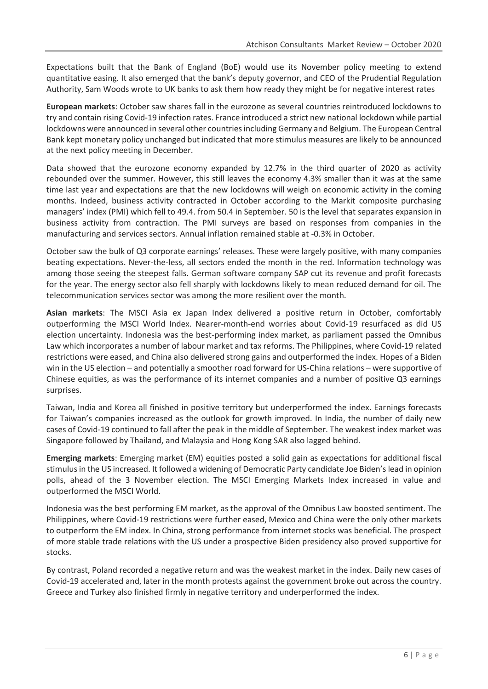Expectations built that the Bank of England (BoE) would use its November policy meeting to extend quantitative easing. It also emerged that the bank's deputy governor, and CEO of the Prudential Regulation Authority, Sam Woods wrote to UK banks to ask them how ready they might be for negative interest rates

**European markets**: October saw shares fall in the eurozone as several countries reintroduced lockdowns to try and contain rising Covid-19 infection rates. France introduced a strict new national lockdown while partial lockdowns were announced in several other countries including Germany and Belgium. The European Central Bank kept monetary policy unchanged but indicated that more stimulus measures are likely to be announced at the next policy meeting in December.

Data showed that the eurozone economy expanded by 12.7% in the third quarter of 2020 as activity rebounded over the summer. However, this still leaves the economy 4.3% smaller than it was at the same time last year and expectations are that the new lockdowns will weigh on economic activity in the coming months. Indeed, business activity contracted in October according to the Markit composite purchasing managers' index (PMI) which fell to 49.4. from 50.4 in September. 50 is the level that separates expansion in business activity from contraction. The PMI surveys are based on responses from companies in the manufacturing and services sectors. Annual inflation remained stable at -0.3% in October.

October saw the bulk of Q3 corporate earnings' releases. These were largely positive, with many companies beating expectations. Never-the-less, all sectors ended the month in the red. Information technology was among those seeing the steepest falls. German software company SAP cut its revenue and profit forecasts for the year. The energy sector also fell sharply with lockdowns likely to mean reduced demand for oil. The telecommunication services sector was among the more resilient over the month.

**Asian markets**: The MSCI Asia ex Japan Index delivered a positive return in October, comfortably outperforming the MSCI World Index. Nearer-month-end worries about Covid-19 resurfaced as did US election uncertainty. Indonesia was the best-performing index market, as parliament passed the Omnibus Law which incorporates a number of labour market and tax reforms. The Philippines, where Covid-19 related restrictions were eased, and China also delivered strong gains and outperformed the index. Hopes of a Biden win in the US election – and potentially a smoother road forward for US-China relations – were supportive of Chinese equities, as was the performance of its internet companies and a number of positive Q3 earnings surprises.

Taiwan, India and Korea all finished in positive territory but underperformed the index. Earnings forecasts for Taiwan's companies increased as the outlook for growth improved. In India, the number of daily new cases of Covid-19 continued to fall after the peak in the middle of September. The weakest index market was Singapore followed by Thailand, and Malaysia and Hong Kong SAR also lagged behind.

**Emerging markets**: Emerging market (EM) equities posted a solid gain as expectations for additional fiscal stimulus in the US increased. It followed a widening of Democratic Party candidate Joe Biden's lead in opinion polls, ahead of the 3 November election. The MSCI Emerging Markets Index increased in value and outperformed the MSCI World.

Indonesia was the best performing EM market, as the approval of the Omnibus Law boosted sentiment. The Philippines, where Covid-19 restrictions were further eased, Mexico and China were the only other markets to outperform the EM index. In China, strong performance from internet stocks was beneficial. The prospect of more stable trade relations with the US under a prospective Biden presidency also proved supportive for stocks.

By contrast, Poland recorded a negative return and was the weakest market in the index. Daily new cases of Covid-19 accelerated and, later in the month protests against the government broke out across the country. Greece and Turkey also finished firmly in negative territory and underperformed the index.